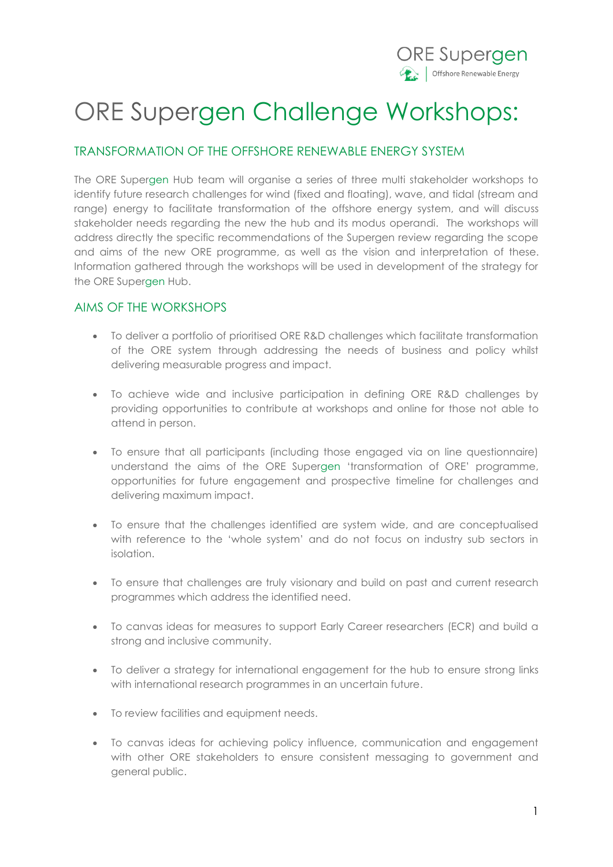

## ORE Supergen Challenge Workshops:

### TRANSFORMATION OF THE OFFSHORE RENEWABLE ENERGY SYSTEM

The ORE Supergen Hub team will organise a series of three multi stakeholder workshops to identify future research challenges for wind (fixed and floating), wave, and tidal (stream and range) energy to facilitate transformation of the offshore energy system, and will discuss stakeholder needs regarding the new the hub and its modus operandi. The workshops will address directly the specific recommendations of the Supergen review regarding the scope and aims of the new ORE programme, as well as the vision and interpretation of these. Information gathered through the workshops will be used in development of the strategy for the ORE Supergen Hub.

#### AIMS OF THE WORKSHOPS

- To deliver a portfolio of prioritised ORE R&D challenges which facilitate transformation of the ORE system through addressing the needs of business and policy whilst delivering measurable progress and impact.
- To achieve wide and inclusive participation in defining ORE R&D challenges by providing opportunities to contribute at workshops and online for those not able to attend in person.
- To ensure that all participants (including those engaged via on line questionnaire) understand the aims of the ORE Supergen 'transformation of ORE' programme, opportunities for future engagement and prospective timeline for challenges and delivering maximum impact.
- To ensure that the challenges identified are system wide, and are conceptualised with reference to the 'whole system' and do not focus on industry sub sectors in isolation.
- To ensure that challenges are truly visionary and build on past and current research programmes which address the identified need.
- To canvas ideas for measures to support Early Career researchers (ECR) and build a strong and inclusive community.
- To deliver a strategy for international engagement for the hub to ensure strong links with international research programmes in an uncertain future.
- To review facilities and equipment needs.
- To canvas ideas for achieving policy influence, communication and engagement with other ORE stakeholders to ensure consistent messaging to government and general public.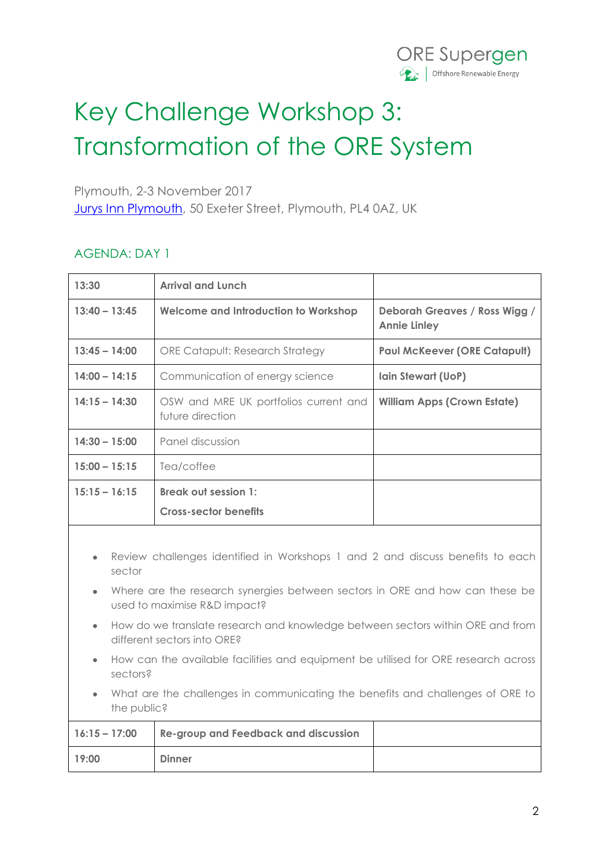

# Key Challenge Workshop 3: Transformation of the ORE System

Plymouth, 2-3 November 2017

[Jurys Inn Plymouth,](https://www.jurysinns.com/hotels/plymouth) 50 Exeter Street, Plymouth, PL4 0AZ, UK

### AGENDA: DAY 1

| 13:30                                                                                         |                                                                                                               | <b>Arrival and Lunch</b>                                  |                                                      |  |  |
|-----------------------------------------------------------------------------------------------|---------------------------------------------------------------------------------------------------------------|-----------------------------------------------------------|------------------------------------------------------|--|--|
| $13:40 - 13:45$                                                                               |                                                                                                               | <b>Welcome and Introduction to Workshop</b>               | Deborah Greaves / Ross Wigg /<br><b>Annie Linley</b> |  |  |
| $13:45 - 14:00$                                                                               |                                                                                                               | <b>ORE Catapult: Research Strategy</b>                    | <b>Paul McKeever (ORE Catapult)</b>                  |  |  |
| $14:00 - 14:15$                                                                               |                                                                                                               | Communication of energy science                           | Iain Stewart (UoP)                                   |  |  |
| $14:15 - 14:30$                                                                               |                                                                                                               | OSW and MRE UK portfolios current and<br>future direction | <b>William Apps (Crown Estate)</b>                   |  |  |
| $14:30 - 15:00$                                                                               |                                                                                                               | Panel discussion                                          |                                                      |  |  |
| $15:00 - 15:15$                                                                               |                                                                                                               | Tea/coffee                                                |                                                      |  |  |
| $15:15 - 16:15$                                                                               |                                                                                                               | <b>Break out session 1:</b>                               |                                                      |  |  |
|                                                                                               |                                                                                                               | <b>Cross-sector benefits</b>                              |                                                      |  |  |
| Review challenges identified in Workshops 1 and 2 and discuss benefits to each<br>٠<br>sector |                                                                                                               |                                                           |                                                      |  |  |
| $\bullet$                                                                                     | Where are the research synergies between sectors in ORE and how can these be<br>used to maximise R&D impact?  |                                                           |                                                      |  |  |
| $\bullet$                                                                                     | How do we translate research and knowledge between sectors within ORE and from<br>different sectors into ORE? |                                                           |                                                      |  |  |
|                                                                                               | How can the available facilities and equipment be utilised for ORE research across<br>sectors?                |                                                           |                                                      |  |  |
|                                                                                               | What are the challenges in communicating the benefits and challenges of ORE to<br>the public?                 |                                                           |                                                      |  |  |
|                                                                                               | 17.15 17.00                                                                                                   | ويمتعمدون والمستمر والمستوالة وتمتع المستمر لسنتموس       |                                                      |  |  |

|       | 16:15 - 17:00 Re-group and Feedback and discussion |  |
|-------|----------------------------------------------------|--|
| 19:00 | <b>Dinner</b>                                      |  |